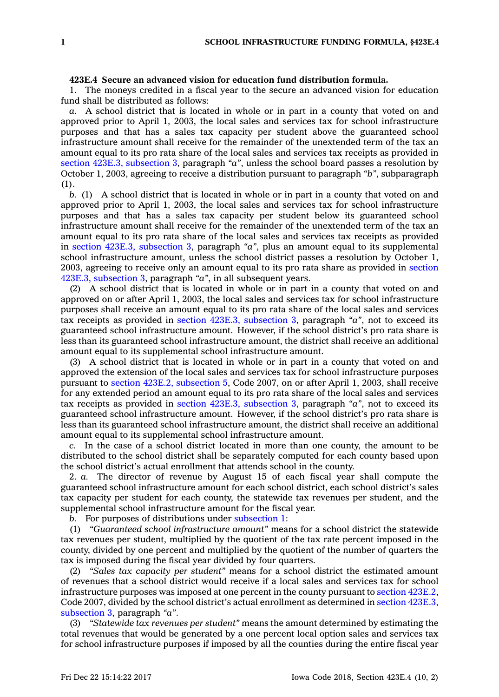## **423E.4 Secure an advanced vision for education fund distribution formula.**

1. The moneys credited in <sup>a</sup> fiscal year to the secure an advanced vision for education fund shall be distributed as follows:

*a.* A school district that is located in whole or in part in <sup>a</sup> county that voted on and approved prior to April 1, 2003, the local sales and services tax for school infrastructure purposes and that has <sup>a</sup> sales tax capacity per student above the guaranteed school infrastructure amount shall receive for the remainder of the unextended term of the tax an amount equal to its pro rata share of the local sales and services tax receipts as provided in section 423E.3, [subsection](https://www.legis.iowa.gov/docs/code/423E.3.pdf) 3, paragraph *"a"*, unless the school board passes <sup>a</sup> resolution by October 1, 2003, agreeing to receive <sup>a</sup> distribution pursuant to paragraph *"b"*, subparagraph  $(1)$ .

*b.* (1) A school district that is located in whole or in part in <sup>a</sup> county that voted on and approved prior to April 1, 2003, the local sales and services tax for school infrastructure purposes and that has <sup>a</sup> sales tax capacity per student below its guaranteed school infrastructure amount shall receive for the remainder of the unextended term of the tax an amount equal to its pro rata share of the local sales and services tax receipts as provided in section 423E.3, [subsection](https://www.legis.iowa.gov/docs/code/423E.3.pdf) 3, paragraph *"a"*, plus an amount equal to its supplemental school infrastructure amount, unless the school district passes <sup>a</sup> resolution by October 1, 2003, agreeing to receive only an amount equal to its pro rata share as provided in [section](https://www.legis.iowa.gov/docs/code/423E.3.pdf) 423E.3, [subsection](https://www.legis.iowa.gov/docs/code/423E.3.pdf) 3, paragraph *"a"*, in all subsequent years.

(2) A school district that is located in whole or in part in <sup>a</sup> county that voted on and approved on or after April 1, 2003, the local sales and services tax for school infrastructure purposes shall receive an amount equal to its pro rata share of the local sales and services tax receipts as provided in section 423E.3, [subsection](https://www.legis.iowa.gov/docs/code/423E.3.pdf) 3, paragraph *"a"*, not to exceed its guaranteed school infrastructure amount. However, if the school district's pro rata share is less than its guaranteed school infrastructure amount, the district shall receive an additional amount equal to its supplemental school infrastructure amount.

(3) A school district that is located in whole or in part in <sup>a</sup> county that voted on and approved the extension of the local sales and services tax for school infrastructure purposes pursuant to section 423E.2, [subsection](https://www.legis.iowa.gov/docs/code/2007/423E.2.pdf) 5, Code 2007, on or after April 1, 2003, shall receive for any extended period an amount equal to its pro rata share of the local sales and services tax receipts as provided in section 423E.3, [subsection](https://www.legis.iowa.gov/docs/code/423E.3.pdf) 3, paragraph *"a"*, not to exceed its guaranteed school infrastructure amount. However, if the school district's pro rata share is less than its guaranteed school infrastructure amount, the district shall receive an additional amount equal to its supplemental school infrastructure amount.

*c.* In the case of <sup>a</sup> school district located in more than one county, the amount to be distributed to the school district shall be separately computed for each county based upon the school district's actual enrollment that attends school in the county.

2. *a.* The director of revenue by August 15 of each fiscal year shall compute the guaranteed school infrastructure amount for each school district, each school district's sales tax capacity per student for each county, the statewide tax revenues per student, and the supplemental school infrastructure amount for the fiscal year.

*b.* For purposes of distributions under [subsection](https://www.legis.iowa.gov/docs/code/423E.4.pdf) 1:

(1) *"Guaranteed school infrastructure amount"* means for <sup>a</sup> school district the statewide tax revenues per student, multiplied by the quotient of the tax rate percent imposed in the county, divided by one percent and multiplied by the quotient of the number of quarters the tax is imposed during the fiscal year divided by four quarters.

(2) *"Sales tax capacity per student"* means for <sup>a</sup> school district the estimated amount of revenues that <sup>a</sup> school district would receive if <sup>a</sup> local sales and services tax for school infrastructure purposes was imposed at one percent in the county pursuant to section [423E.2](https://www.legis.iowa.gov/docs/code/2007/423E.2.pdf), Code 2007, divided by the school district's actual enrollment as determined in section [423E.3,](https://www.legis.iowa.gov/docs/code/423E.3.pdf) [subsection](https://www.legis.iowa.gov/docs/code/423E.3.pdf) 3, paragraph *"a"*.

(3) *"Statewide tax revenues per student"* means the amount determined by estimating the total revenues that would be generated by <sup>a</sup> one percent local option sales and services tax for school infrastructure purposes if imposed by all the counties during the entire fiscal year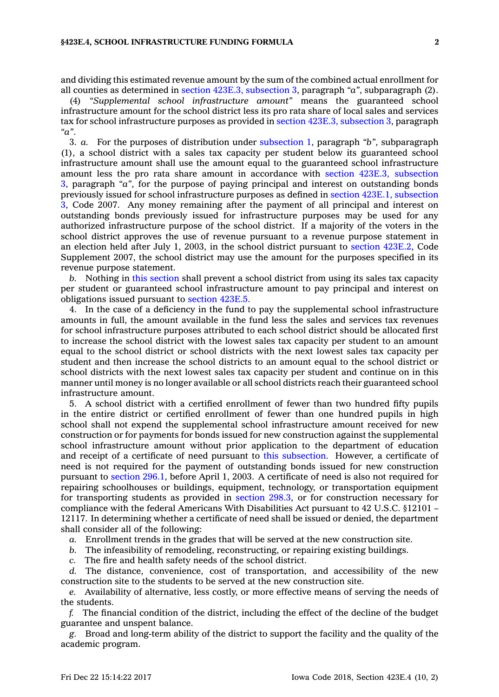and dividing this estimated revenue amount by the sum of the combined actual enrollment for all counties as determined in section 423E.3, [subsection](https://www.legis.iowa.gov/docs/code/423E.3.pdf) 3, paragraph *"a"*, subparagraph (2).

(4) *"Supplemental school infrastructure amount"* means the guaranteed school infrastructure amount for the school district less its pro rata share of local sales and services tax for school infrastructure purposes as provided in section 423E.3, [subsection](https://www.legis.iowa.gov/docs/code/423E.3.pdf) 3, paragraph *"a"*.

3. *a.* For the purposes of distribution under [subsection](https://www.legis.iowa.gov/docs/code/423E.4.pdf) 1, paragraph *"b"*, subparagraph (1), <sup>a</sup> school district with <sup>a</sup> sales tax capacity per student below its guaranteed school infrastructure amount shall use the amount equal to the guaranteed school infrastructure amount less the pro rata share amount in accordance with section 423E.3, [subsection](https://www.legis.iowa.gov/docs/code/423E.3.pdf) [3](https://www.legis.iowa.gov/docs/code/423E.3.pdf), paragraph *"a"*, for the purpose of paying principal and interest on outstanding bonds previously issued for school infrastructure purposes as defined in section 423E.1, [subsection](https://www.legis.iowa.gov/docs/code/2007/423E.1.pdf) [3](https://www.legis.iowa.gov/docs/code/2007/423E.1.pdf), Code 2007. Any money remaining after the payment of all principal and interest on outstanding bonds previously issued for infrastructure purposes may be used for any authorized infrastructure purpose of the school district. If <sup>a</sup> majority of the voters in the school district approves the use of revenue pursuant to <sup>a</sup> revenue purpose statement in an election held after July 1, 2003, in the school district pursuant to section [423E.2](https://www.legis.iowa.gov/docs/code/2017/423E.2.pdf), Code Supplement 2007, the school district may use the amount for the purposes specified in its revenue purpose statement.

*b.* Nothing in this [section](https://www.legis.iowa.gov/docs/code/423E.4.pdf) shall prevent <sup>a</sup> school district from using its sales tax capacity per student or guaranteed school infrastructure amount to pay principal and interest on obligations issued pursuant to [section](https://www.legis.iowa.gov/docs/code/423E.5.pdf) 423E.5.

4. In the case of <sup>a</sup> deficiency in the fund to pay the supplemental school infrastructure amounts in full, the amount available in the fund less the sales and services tax revenues for school infrastructure purposes attributed to each school district should be allocated first to increase the school district with the lowest sales tax capacity per student to an amount equal to the school district or school districts with the next lowest sales tax capacity per student and then increase the school districts to an amount equal to the school district or school districts with the next lowest sales tax capacity per student and continue on in this manner until money is no longer available or all school districts reach their guaranteed school infrastructure amount.

5. A school district with <sup>a</sup> certified enrollment of fewer than two hundred fifty pupils in the entire district or certified enrollment of fewer than one hundred pupils in high school shall not expend the supplemental school infrastructure amount received for new construction or for payments for bonds issued for new construction against the supplemental school infrastructure amount without prior application to the department of education and receipt of <sup>a</sup> certificate of need pursuant to this [subsection](https://www.legis.iowa.gov/docs/code/423E.4.pdf). However, <sup>a</sup> certificate of need is not required for the payment of outstanding bonds issued for new construction pursuant to [section](https://www.legis.iowa.gov/docs/code/296.1.pdf) 296.1, before April 1, 2003. A certificate of need is also not required for repairing schoolhouses or buildings, equipment, technology, or transportation equipment for transporting students as provided in [section](https://www.legis.iowa.gov/docs/code/298.3.pdf) 298.3, or for construction necessary for compliance with the federal Americans With Disabilities Act pursuant to 42 U.S.C. §12101 – 12117. In determining whether <sup>a</sup> certificate of need shall be issued or denied, the department shall consider all of the following:

*a.* Enrollment trends in the grades that will be served at the new construction site.

*b.* The infeasibility of remodeling, reconstructing, or repairing existing buildings.

*c.* The fire and health safety needs of the school district.

*d.* The distance, convenience, cost of transportation, and accessibility of the new construction site to the students to be served at the new construction site.

*e.* Availability of alternative, less costly, or more effective means of serving the needs of the students.

*f.* The financial condition of the district, including the effect of the decline of the budget guarantee and unspent balance.

*g.* Broad and long-term ability of the district to support the facility and the quality of the academic program.